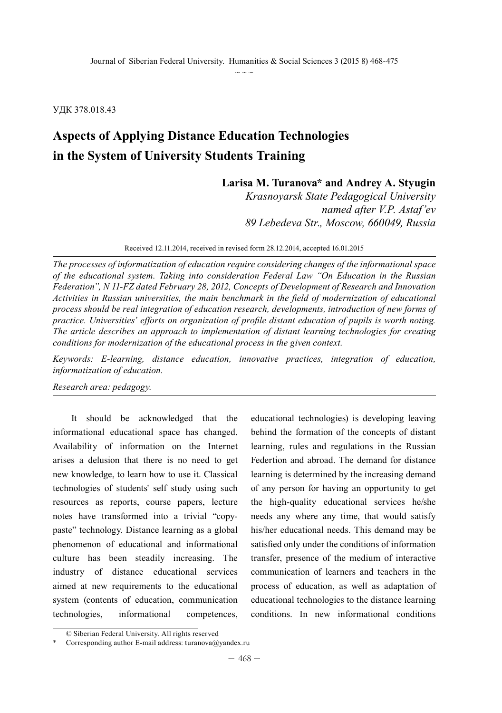$\sim$   $\sim$   $\sim$ 

УДК 378.018.43

# **Aspects of Applying Distance Education Technologies in the System of University Students Training**

### **Larisa M. Turanova\* and Andrey A. Styugin**

*Krasnoyarsk State Pedagogical University named after V.P. Astaf'ev 89 Lebedeva Str., Moscow, 660049, Russia*

Received 12.11.2014, received in revised form 28.12.2014, accepted 16.01.2015

*The processes of informatization of education require considering changes of the informational space of the educational system. Taking into consideration Federal Law "On Education in the Russian Federation", N 11-FZ dated February 28, 2012, Concepts of Development of Research and Innovation Activities in Russian universities, the main benchmark in the field of modernization of educational process should be real integration of education research, developments, introduction of new forms of practice. Universities' efforts on organization of profile distant education of pupils is worth noting. The article describes an approach to implementation of distant learning technologies for creating conditions for modernization of the educational process in the given context.* 

*Keywords: E-learning, distance education, innovative practices, integration of education, informatization of education.*

*Research area: pedagogy.*

It should be acknowledged that the informational educational space has changed. Availability of information on the Internet arises a delusion that there is no need to get new knowledge, to learn how to use it. Classical technologies of students' self study using such resources as reports, course papers, lecture notes have transformed into a trivial "copypaste" technology. Distance learning as a global phenomenon of educational and informational culture has been steadily increasing. The industry of distance educational services aimed at new requirements to the educational system (contents of education, communication technologies, informational competences,

educational technologies) is developing leaving behind the formation of the concepts of distant learning, rules and regulations in the Russian Federtion and abroad. The demand for distance learning is determined by the increasing demand of any person for having an opportunity to get the high-quality educational services he/she needs any where any time, that would satisfy his/her educational needs. This demand may be satisfied only under the conditions of information transfer, presence of the medium of interactive communication of learners and teachers in the process of education, as well as adaptation of educational technologies to the distance learning conditions. In new informational conditions

<sup>©</sup> Siberian Federal University. All rights reserved

Corresponding author E-mail address: turanova@yandex.ru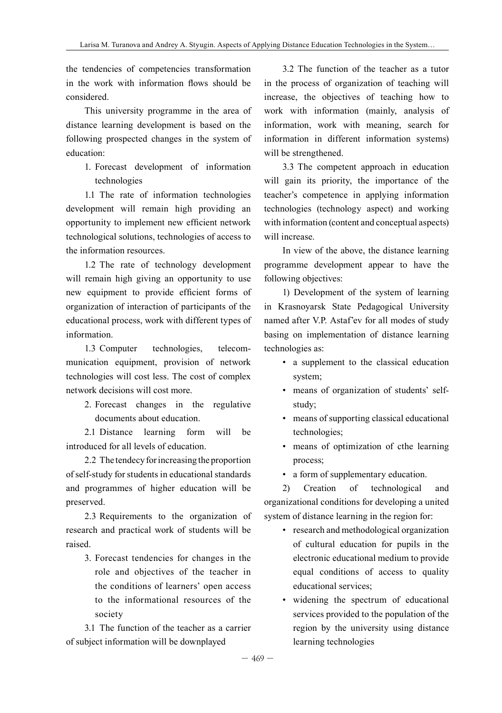the tendencies of competencies transformation in the work with information flows should be considered.

This university programme in the area of distance learning development is based on the following prospected changes in the system of education:

> 1. Forecast development of information technologies

1.1 The rate of information technologies development will remain high providing an opportunity to implement new efficient network technological solutions, technologies of access to the information resources.

1.2 The rate of technology development will remain high giving an opportunity to use new equipment to provide efficient forms of organization of interaction of participants of the educational process, work with different types of information.

1.3 Computer technologies, telecommunication equipment, provision of network technologies will cost less. The cost of complex network decisions will cost more.

2. Forecast changes in the regulative documents about education.

2.1 Distance learning form will be introduced for all levels of education.

2.2 The tendecy for increasing the proportion of self-study for students in educational standards and programmes of higher education will be preserved.

2.3 Requirements to the organization of research and practical work of students will be raised.

3. Forecast tendencies for changes in the role and objectives of the teacher in the conditions of learners' open access to the informational resources of the society

3.1 The function of the teacher as a carrier of subject information will be downplayed

3.2 The function of the teacher as a tutor in the process of organization of teaching will increase, the objectives of teaching how to work with information (mainly, analysis of information, work with meaning, search for information in different information systems) will be strengthened.

3.3 The competent approach in education will gain its priority, the importance of the teacher's competence in applying information technologies (technology aspect) and working with information (content and conceptual aspects) will increase.

In view of the above, the distance learning programme development appear to have the following objectives:

1) Development of the system of learning in Krasnoyarsk State Pedagogical University named after V.P. Astaf'ev for all modes of study basing on implementation of distance learning technologies as:

- a supplement to the classical education system;
- means of organization of students' selfstudy;
- means of supporting classical educational technologies;
- means of optimization of cthe learning process;
- a form of supplementary education.

2) Creation of technological and organizational conditions for developing a united system of distance learning in the region for:

- research and methodological organization of cultural education for pupils in the electronic educational medium to provide equal conditions of access to quality educational services;
- widening the spectrum of educational services provided to the population of the region by the university using distance learning technologies

 $-469-$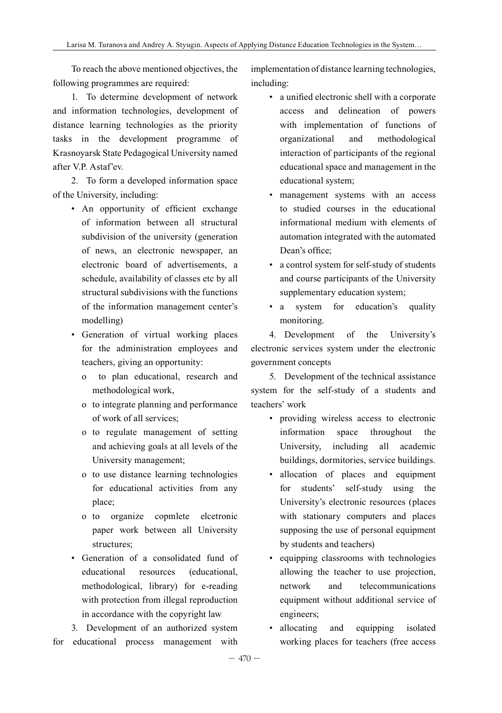To reach the above mentioned objectives, the following programmes are required:

1. To determine development of network and information technologies, development of distance learning technologies as the priority tasks in the development programme of Krasnoyarsk State Pedagogical University named after V.P. Astaf'ev.

2. To form a developed information space of the University, including:

- An opportunity of efficient exchange of information between all structural subdivision of the university (generation of news, an electronic newspaper, an electronic board of advertisements, a schedule, availability of classes etc by all structural subdivisions with the functions of the information management center's modelling)
- Generation of virtual working places for the administration employees and teachers, giving an opportunity:
	- o to plan educational, research and methodological work,
	- o to integrate planning and performance of work of all services;
	- o to regulate management of setting and achieving goals at all levels of the University management;
	- o to use distance learning technologies for educational activities from any place;
	- o to organize copmlete elcetronic paper work between all University structures;
- Generation of a consolidated fund of educational resources (educational, methodological, library) for e-reading with protection from illegal reproduction in accordance with the copyright law
- 3. Development of an authorized system for educational process management with

implementation of distance learning technologies, including:

- a unified electronic shell with a corporate access and delineation of powers with implementation of functions of organizational and methodological interaction of participants of the regional educational space and management in the educational system;
- management systems with an access to studied courses in the educational informational medium with elements of automation integrated with the automated Dean's office;
- a control system for self-study of students and course participants of the University supplementary education system;
- a system for education's quality monitoring.

4. Development of the University's electronic services system under the electronic government concepts

5. Development of the technical assistance system for the self-study of a students and teachers' work

- providing wireless access to electronic information space throughout the University, including all academic buildings, dormitories, service buildings.
- allocation of places and equipment for students' self-study using the University's electronic resources (places with stationary computers and places supposing the use of personal equipment by students and teachers)
- equipping classrooms with technologies allowing the teacher to use projection, network and telecommunications equipment without additional service of engineers;
- allocating and equipping isolated working places for teachers (free access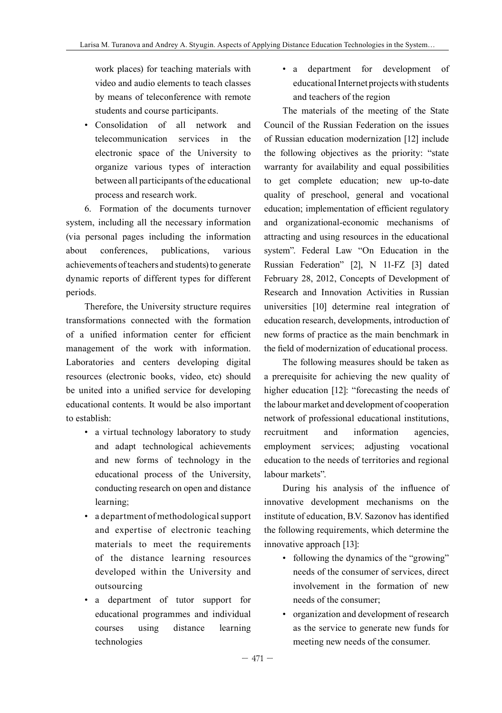work places) for teaching materials with video and audio elements to teach classes by means of teleconference with remote students and course participants.

• Consolidation of all network and telecommunication services in the electronic space of the University to organize various types of interaction between all participants of the educational process and research work.

6. Formation of the documents turnover system, including all the necessary information (via personal pages including the information about conferences, publications, various achievements of teachers and students) to generate dynamic reports of different types for different periods.

Therefore, the University structure requires transformations connected with the formation of a unified information center for efficient management of the work with information. Laboratories and centers developing digital resources (electronic books, video, etc) should be united into a unified service for developing educational contents. It would be also important to establish:

- a virtual technology laboratory to study and adapt technological achievements and new forms of technology in the educational process of the University, conducting research on open and distance learning;
- a department of methodological support and expertise of electronic teaching materials to meet the requirements of the distance learning resources developed within the University and outsourcing
- a department of tutor support for educational programmes and individual courses using distance learning technologies

• a department for development of educational Internet projects with students and teachers of the region

The materials of the meeting of the State Council of the Russian Federation on the issues of Russian education modernization [12] include the following objectives as the priority: "state warranty for availability and equal possibilities to get complete education; new up-to-date quality of preschool, general and vocational education; implementation of efficient regulatory and organizational-economic mechanisms of attracting and using resources in the educational system". Federal Law "On Education in the Russian Federation" [2], N 11-FZ [3] dated February 28, 2012, Concepts of Development of Research and Innovation Activities in Russian universities [10] determine real integration of education research, developments, introduction of new forms of practice as the main benchmark in the field of modernization of educational process.

The following measures should be taken as a prerequisite for achieving the new quality of higher education [12]: "forecasting the needs of the labour market and development of cooperation network of professional educational institutions, recruitment and information agencies, employment services; adjusting vocational education to the needs of territories and regional labour markets".

During his analysis of the influence of innovative development mechanisms on the institute of education, B.V. Sazonov has identified the following requirements, which determine the innovative approach [13]:

- following the dynamics of the "growing" needs of the consumer of services, direct involvement in the formation of new needs of the consumer;
- organization and development of research as the service to generate new funds for meeting new needs of the consumer.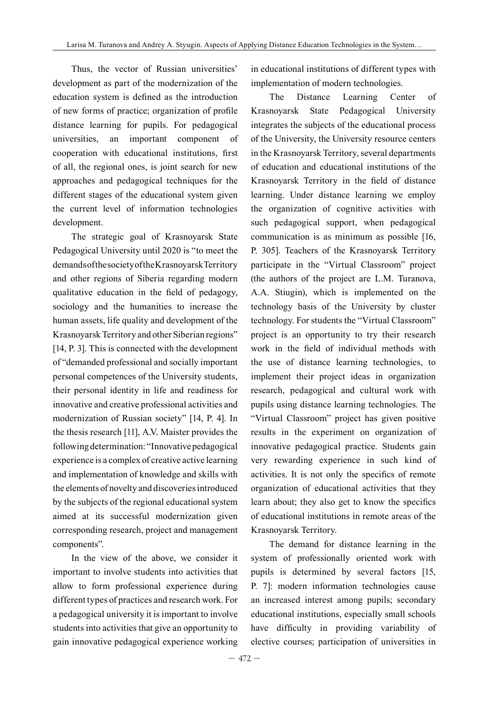Thus, the vector of Russian universities' development as part of the modernization of the education system is defined as the introduction of new forms of practice; organization of profile distance learning for pupils. For pedagogical universities, an important component of cooperation with educational institutions, first of all, the regional ones, is joint search for new approaches and pedagogical techniques for the different stages of the educational system given the current level of information technologies development.

The strategic goal of Krasnoyarsk State Pedagogical University until 2020 is "to meet the demands of the society of the Krasnoyarsk Territory and other regions of Siberia regarding modern qualitative education in the field of pedagogy, sociology and the humanities to increase the human assets, life quality and development of the Krasnoyarsk Territory and other Siberian regions" [14, P. 3]. This is connected with the development of "demanded professional and socially important personal competences of the University students, their personal identity in life and readiness for innovative and creative professional activities and modernization of Russian society" [14, P. 4]. In the thesis research [11], A.V. Maister provides the following determination: "Innovative pedagogical experience is a complex of creative active learning and implementation of knowledge and skills with the elements of novelty and discoveries introduced by the subjects of the regional educational system aimed at its successful modernization given corresponding research, project and management components".

In the view of the above, we consider it important to involve students into activities that allow to form professional experience during different types of practices and research work. For a pedagogical university it is important to involve students into activities that give an opportunity to gain innovative pedagogical experience working

in educational institutions of different types with implementation of modern technologies.

The Distance Learning Center of Krasnoyarsk State Pedagogical University integrates the subjects of the educational process of the University, the University resource centers in the Krasnoyarsk Territory, several departments of education and educational institutions of the Krasnoyarsk Territory in the field of distance learning. Under distance learning we employ the organization of cognitive activities with such pedagogical support, when pedagogical communication is as minimum as possible [16, P. 305]. Teachers of the Krasnoyarsk Territory participate in the "Virtual Classroom" project (the authors of the project are L.M. Turanova, A.A. Stiugin), which is implemented on the technology basis of the University by cluster technology. For students the "Virtual Classroom" project is an opportunity to try their research work in the field of individual methods with the use of distance learning technologies, to implement their project ideas in organization research, pedagogical and cultural work with pupils using distance learning technologies. The "Virtual Classroom" project has given positive results in the experiment on organization of innovative pedagogical practice. Students gain very rewarding experience in such kind of activities. It is not only the specifics of remote organization of educational activities that they learn about; they also get to know the specifics of educational institutions in remote areas of the Krasnoyarsk Territory.

The demand for distance learning in the system of professionally oriented work with pupils is determined by several factors [15, P. 7]: modern information technologies cause an increased interest among pupils; secondary educational institutions, especially small schools have difficulty in providing variability of elective courses; participation of universities in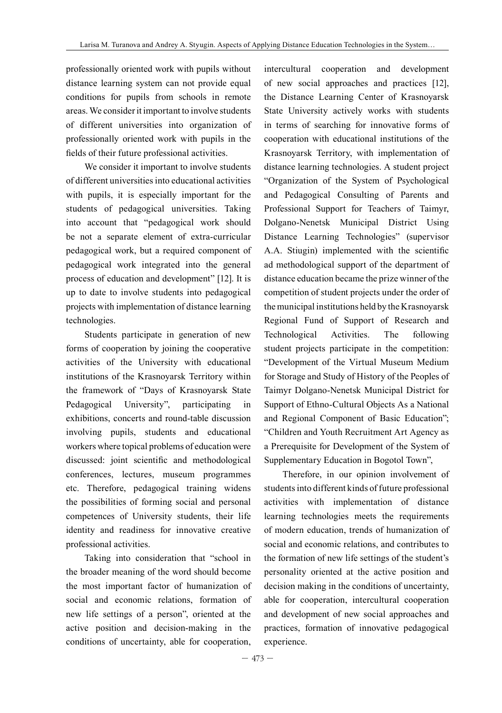professionally oriented work with pupils without distance learning system can not provide equal conditions for pupils from schools in remote areas. We consider it important to involve students of different universities into organization of professionally oriented work with pupils in the fields of their future professional activities.

We consider it important to involve students of different universities into educational activities with pupils, it is especially important for the students of pedagogical universities. Taking into account that "pedagogical work should be not a separate element of extra-curricular pedagogical work, but a required component of pedagogical work integrated into the general process of education and development" [12]. It is up to date to involve students into pedagogical projects with implementation of distance learning technologies.

Students participate in generation of new forms of cooperation by joining the cooperative activities of the University with educational institutions of the Krasnoyarsk Territory within the framework of "Days of Krasnoyarsk State Pedagogical University", participating in exhibitions, concerts and round-table discussion involving pupils, students and educational workers where topical problems of education were discussed: joint scientific and methodological conferences, lectures, museum programmes etc. Therefore, pedagogical training widens the possibilities of forming social and personal competences of University students, their life identity and readiness for innovative creative professional activities.

Taking into consideration that "school in the broader meaning of the word should become the most important factor of humanization of social and economic relations, formation of new life settings of a person", oriented at the active position and decision-making in the conditions of uncertainty, able for cooperation,

intercultural cooperation and development of new social approaches and practices [12], the Distance Learning Center of Krasnoyarsk State University actively works with students in terms of searching for innovative forms of cooperation with educational institutions of the Krasnoyarsk Territory, with implementation of distance learning technologies. A student project "Organization of the System of Psychological and Pedagogical Consulting of Parents and Professional Support for Teachers of Taimyr, Dolgano-Nenetsk Municipal District Using Distance Learning Technologies" (supervisor A.A. Stiugin) implemented with the scientific ad methodological support of the department of distance education became the prize winner of the competition of student projects under the order of the municipal institutions held by the Krasnoyarsk Regional Fund of Support of Research and Technological Activities. The following student projects participate in the competition: "Development of the Virtual Museum Medium for Storage and Study of History of the Peoples of Taimyr Dolgano-Nenetsk Municipal District for Support of Ethno-Cultural Objects As a National and Regional Component of Basic Education"; "Children and Youth Recruitment Art Agency as a Prerequisite for Development of the System of Supplementary Education in Bogotol Town",

Therefore, in our opinion involvement of students into different kinds of future professional activities with implementation of distance learning technologies meets the requirements of modern education, trends of humanization of social and economic relations, and contributes to the formation of new life settings of the student's personality oriented at the active position and decision making in the conditions of uncertainty, able for cooperation, intercultural cooperation and development of new social approaches and practices, formation of innovative pedagogical experience.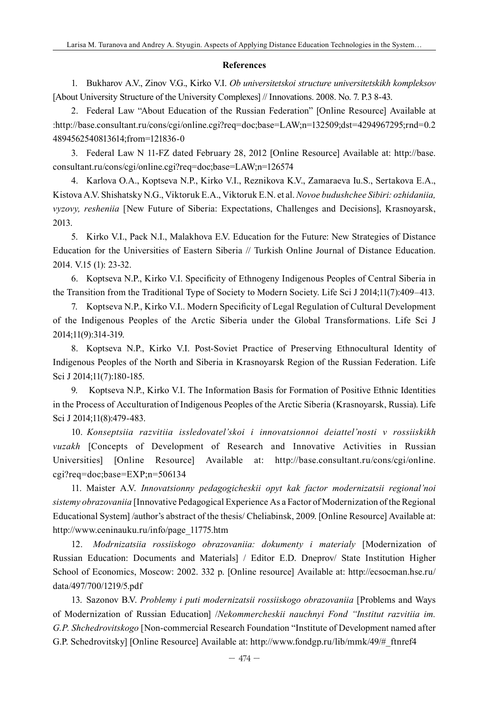#### **References**

1. Bukharov A.V., Zinov V.G., Kirko V.I. *Ob universitetskoi structure universitetskikh kompleksov* [About University Structure of the University Complexes] // Innovations. 2008. No. 7. P.3 8-43.

2. Federal Law "About Education of the Russian Federation" [Online Resource] Available at :http://base.consultant.ru/cons/cgi/online.cgi?req=doc;base=LAW;n=132509;dst=4294967295;rnd=0.2 4894562540813614;from=121836-0

3. Federal Law N 11-FZ dated February 28, 2012 [Online Resource] Available at: http://base. consultant.ru/cons/cgi/online.cgi?req=doc;base=LAW;n=126574

4. Karlova O.A., Koptseva N.P., Kirko V.I., Reznikova K.V., Zamaraeva Iu.S., Sertakova E.A., Kistova A.V. Shishatsky N.G., Viktoruk E.A., Viktoruk E.N. et al. *Novoe budushchee Sibiri: ozhidaniia, vyzovy, resheniia* [New Future of Siberia: Expectations, Challenges and Decisions], Krasnoyarsk, 2013.

5. Kirko V.I., Pack N.I., Malakhova E.V. Education for the Future: New Strategies of Distance Education for the Universities of Eastern Siberia // Turkish Online Journal of Distance Education. 2014. V.15 (1): 23-32.

6. Koptseva N.P., Kirko V.I. Specificity of Ethnogeny Indigenous Peoples of Central Siberia in the Transition from the Traditional Type of Society to Modern Society. Life Sci J 2014;11(7):409–413.

7. Koptseva N.P., Kirko V.I.. Modern Specificity of Legal Regulation of Cultural Development of the Indigenous Peoples of the Arctic Siberia under the Global Transformations. Life Sci J 2014;11(9):314-319.

8. Koptseva N.P., Kirko V.I. Post-Soviet Practice of Preserving Ethnocultural Identity of Indigenous Peoples of the North and Siberia in Krasnoyarsk Region of the Russian Federation. Life Sci J 2014;11(7):180-185.

9. Koptseva N.P., Kirko V.I. The Information Basis for Formation of Positive Ethnic Identities in the Process of Acculturation of Indigenous Peoples of the Arctic Siberia (Krasnoyarsk, Russia). Life Sci J 2014;11(8):479-483.

10. *Konseptsiia razvitiia issledovatel'skoi i innovatsionnoi deiattel'nosti v rossiiskikh vuzakh* [Concepts of Development of Research and Innovative Activities in Russian Universities] [Online Resource] Available at: http://base.consultant.ru/cons/cgi/online. cgi?req=doc;base=EXP;n=506134

11. Maister A.V. *Innovatsionny pedagogicheskii opyt kak factor modernizatsii regional'noi sistemy obrazovaniia* [Innovative Pedagogical Experience As a Factor of Modernization of the Regional Educational System] /author's abstract of the thesis/ Cheliabinsk, 2009. [Online Resource] Available at: http://www.ceninauku.ru/info/page\_11775.htm

12. *Modrnizatsiia rossiiskogo obrazovaniia: dokumenty i materialy* [Modernization of Russian Education: Documents and Materials] / Editor E.D. Dneprov/ State Institution Higher School of Economics, Moscow: 2002. 332 p. [Online resource] Available at: http://ecsocman.hse.ru/ data/497/700/1219/5.pdf

13. Sazonov B.V. *Problemy i puti modernizatsii rossiiskogo obrazovaniia* [Problems and Ways of Modernization of Russian Education] /*Nekommercheskii nauchnyi Fond "Institut razvitiia im. G.P. Shchedrovitskogo* [Non-commercial Research Foundation "Institute of Development named after G.P. Schedrovitsky] [Online Resource] Available at: http://www.fondgp.ru/lib/mmk/49/#\_ftnref4